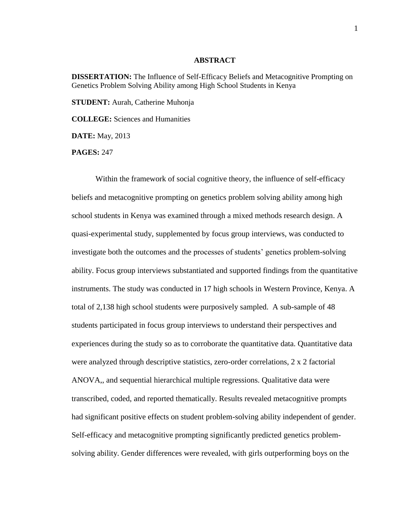## **ABSTRACT**

**DISSERTATION:** The Influence of Self-Efficacy Beliefs and Metacognitive Prompting on Genetics Problem Solving Ability among High School Students in Kenya

**STUDENT:** Aurah, Catherine Muhonja

**COLLEGE:** Sciences and Humanities

**DATE:** May, 2013

**PAGES:** 247

Within the framework of social cognitive theory, the influence of self-efficacy beliefs and metacognitive prompting on genetics problem solving ability among high school students in Kenya was examined through a mixed methods research design. A quasi-experimental study, supplemented by focus group interviews, was conducted to investigate both the outcomes and the processes of students' genetics problem-solving ability. Focus group interviews substantiated and supported findings from the quantitative instruments. The study was conducted in 17 high schools in Western Province, Kenya. A total of 2,138 high school students were purposively sampled. A sub-sample of 48 students participated in focus group interviews to understand their perspectives and experiences during the study so as to corroborate the quantitative data. Quantitative data were analyzed through descriptive statistics, zero-order correlations, 2 x 2 factorial ANOVA,, and sequential hierarchical multiple regressions. Qualitative data were transcribed, coded, and reported thematically. Results revealed metacognitive prompts had significant positive effects on student problem-solving ability independent of gender. Self-efficacy and metacognitive prompting significantly predicted genetics problemsolving ability. Gender differences were revealed, with girls outperforming boys on the